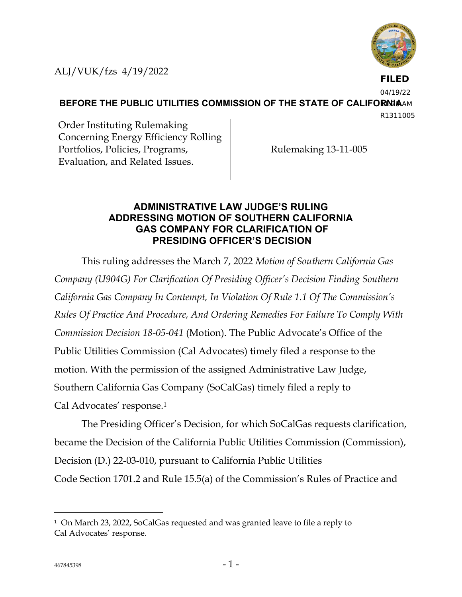

**FILED**

04/19/22

**BEFORE THE PUBLIC UTILITIES COMMISSION OF THE STATE OF CALIFORNIAAM** 

R1311005

Order Instituting Rulemaking Concerning Energy Efficiency Rolling Portfolios, Policies, Programs, Evaluation, and Related Issues.

Rulemaking 13-11-005

# **ADMINISTRATIVE LAW JUDGE'S RULING ADDRESSING MOTION OF SOUTHERN CALIFORNIA GAS COMPANY FOR CLARIFICATION OF PRESIDING OFFICER'S DECISION**

This ruling addresses the March 7, 2022 *Motion of Southern California Gas Company (U904G) For Clarification Of Presiding Officer's Decision Finding Southern California Gas Company In Contempt, In Violation Of Rule 1.1 Of The Commission's Rules Of Practice And Procedure, And Ordering Remedies For Failure To Comply With Commission Decision 18-05-041* (Motion). The Public Advocate's Office of the Public Utilities Commission (Cal Advocates) timely filed a response to the motion. With the permission of the assigned Administrative Law Judge, Southern California Gas Company (SoCalGas) timely filed a reply to Cal Advocates' response.<sup>1</sup>

The Presiding Officer's Decision, for which SoCalGas requests clarification, became the Decision of the California Public Utilities Commission (Commission), Decision (D.) 22-03-010, pursuant to California Public Utilities Code Section 1701.2 and Rule 15.5(a) of the Commission's Rules of Practice and

<sup>1</sup> On March 23, 2022, SoCalGas requested and was granted leave to file a reply to Cal Advocates' response.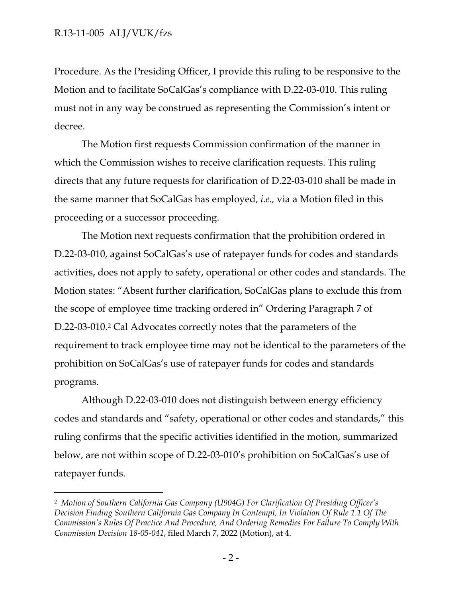Procedure. As the Presiding Officer, I provide this ruling to be responsive to the Motion and to facilitate SoCalGas's compliance with D.22-03-010. This ruling must not in any way be construed as representing the Commission's intent or decree.

The Motion first requests Commission confirmation of the manner in which the Commission wishes to receive clarification requests. This ruling directs that any future requests for clarification of D.22-03-010 shall be made in the same manner that SoCalGas has employed, *i.e.,* via a Motion filed in this proceeding or a successor proceeding.

The Motion next requests confirmation that the prohibition ordered in D.22-03-010, against SoCalGas's use of ratepayer funds for codes and standards activities, does not apply to safety, operational or other codes and standards. The Motion states: "Absent further clarification, SoCalGas plans to exclude this from the scope of employee time tracking ordered in" Ordering Paragraph 7 of D.22-03-010.<sup>2</sup> Cal Advocates correctly notes that the parameters of the requirement to track employee time may not be identical to the parameters of the prohibition on SoCalGas's use of ratepayer funds for codes and standards programs.

Although D.22-03-010 does not distinguish between energy efficiency codes and standards and "safety, operational or other codes and standards," this ruling confirms that the specific activities identified in the motion, summarized below, are not within scope of D.22-03-010's prohibition on SoCalGas's use of ratepayer funds.

<sup>2</sup> *Motion of Southern California Gas Company (U904G) For Clarification Of Presiding Officer's Decision Finding Southern California Gas Company In Contempt, In Violation Of Rule 1.1 Of The Commission's Rules Of Practice And Procedure, And Ordering Remedies For Failure To Comply With Commission Decision 18-05-041*, filed March 7, 2022 (Motion), at 4.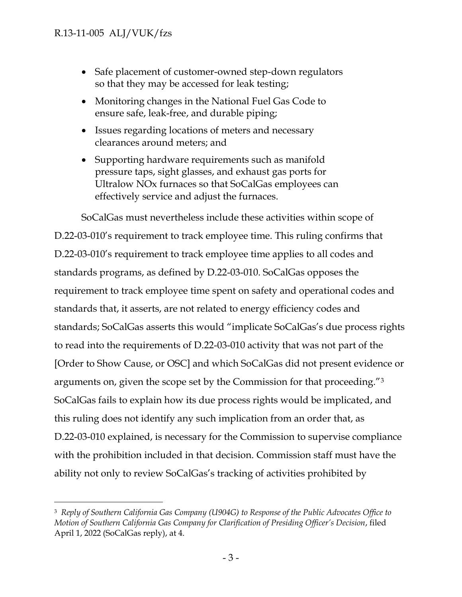- Safe placement of customer-owned step-down regulators so that they may be accessed for leak testing;
- Monitoring changes in the National Fuel Gas Code to ensure safe, leak-free, and durable piping;
- Issues regarding locations of meters and necessary clearances around meters; and
- Supporting hardware requirements such as manifold pressure taps, sight glasses, and exhaust gas ports for Ultralow NOx furnaces so that SoCalGas employees can effectively service and adjust the furnaces.

SoCalGas must nevertheless include these activities within scope of D.22-03-010's requirement to track employee time. This ruling confirms that D.22-03-010's requirement to track employee time applies to all codes and standards programs, as defined by D.22-03-010. SoCalGas opposes the requirement to track employee time spent on safety and operational codes and standards that, it asserts, are not related to energy efficiency codes and standards; SoCalGas asserts this would "implicate SoCalGas's due process rights to read into the requirements of D.22-03-010 activity that was not part of the [Order to Show Cause, or OSC] and which SoCalGas did not present evidence or arguments on, given the scope set by the Commission for that proceeding."<sup>3</sup> SoCalGas fails to explain how its due process rights would be implicated, and this ruling does not identify any such implication from an order that, as D.22-03-010 explained, is necessary for the Commission to supervise compliance with the prohibition included in that decision. Commission staff must have the ability not only to review SoCalGas's tracking of activities prohibited by

<sup>3</sup> *Reply of Southern California Gas Company (U904G) to Response of the Public Advocates Office to Motion of Southern California Gas Company for Clarification of Presiding Officer's Decision*, filed April 1, 2022 (SoCalGas reply), at 4.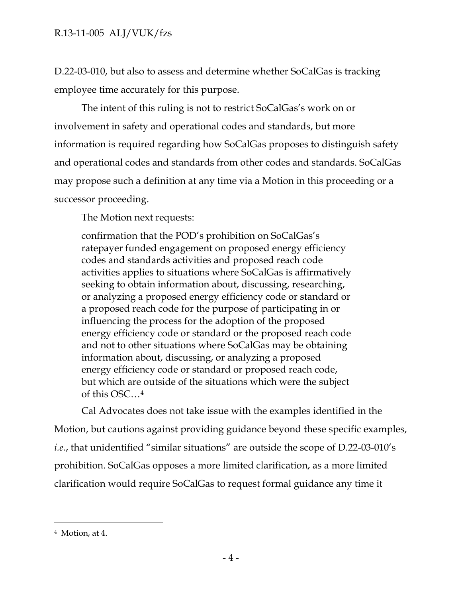D.22-03-010, but also to assess and determine whether SoCalGas is tracking employee time accurately for this purpose.

The intent of this ruling is not to restrict SoCalGas's work on or involvement in safety and operational codes and standards, but more information is required regarding how SoCalGas proposes to distinguish safety and operational codes and standards from other codes and standards. SoCalGas may propose such a definition at any time via a Motion in this proceeding or a successor proceeding.

The Motion next requests:

confirmation that the POD's prohibition on SoCalGas's ratepayer funded engagement on proposed energy efficiency codes and standards activities and proposed reach code activities applies to situations where SoCalGas is affirmatively seeking to obtain information about, discussing, researching, or analyzing a proposed energy efficiency code or standard or a proposed reach code for the purpose of participating in or influencing the process for the adoption of the proposed energy efficiency code or standard or the proposed reach code and not to other situations where SoCalGas may be obtaining information about, discussing, or analyzing a proposed energy efficiency code or standard or proposed reach code, but which are outside of the situations which were the subject of this OSC…<sup>4</sup>

Cal Advocates does not take issue with the examples identified in the Motion, but cautions against providing guidance beyond these specific examples, *i.e.*, that unidentified "similar situations" are outside the scope of D.22-03-010's prohibition. SoCalGas opposes a more limited clarification, as a more limited clarification would require SoCalGas to request formal guidance any time it

<sup>4</sup> Motion, at 4.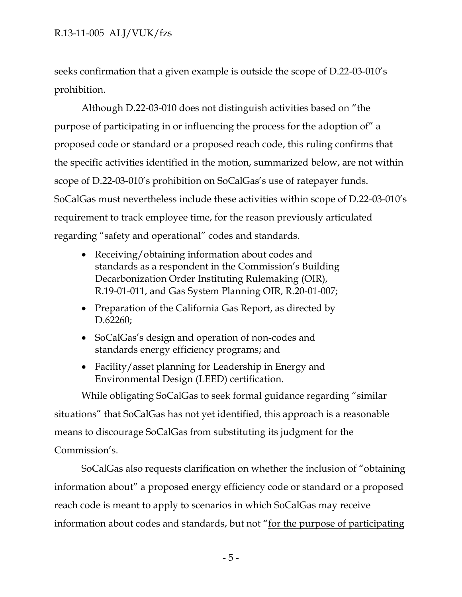# R.13-11-005 ALJ/VUK/fzs

seeks confirmation that a given example is outside the scope of D.22-03-010's prohibition.

Although D.22-03-010 does not distinguish activities based on "the purpose of participating in or influencing the process for the adoption of" a proposed code or standard or a proposed reach code, this ruling confirms that the specific activities identified in the motion, summarized below, are not within scope of D.22-03-010's prohibition on SoCalGas's use of ratepayer funds. SoCalGas must nevertheless include these activities within scope of D.22-03-010's requirement to track employee time, for the reason previously articulated regarding "safety and operational" codes and standards.

- Receiving/obtaining information about codes and standards as a respondent in the Commission's Building Decarbonization Order Instituting Rulemaking (OIR), R.19-01-011, and Gas System Planning OIR, R.20-01-007;
- Preparation of the California Gas Report, as directed by D.62260;
- SoCalGas's design and operation of non-codes and standards energy efficiency programs; and
- Facility/asset planning for Leadership in Energy and Environmental Design (LEED) certification.

While obligating SoCalGas to seek formal guidance regarding "similar situations" that SoCalGas has not yet identified, this approach is a reasonable means to discourage SoCalGas from substituting its judgment for the Commission's.

SoCalGas also requests clarification on whether the inclusion of "obtaining information about" a proposed energy efficiency code or standard or a proposed reach code is meant to apply to scenarios in which SoCalGas may receive information about codes and standards, but not "for the purpose of participating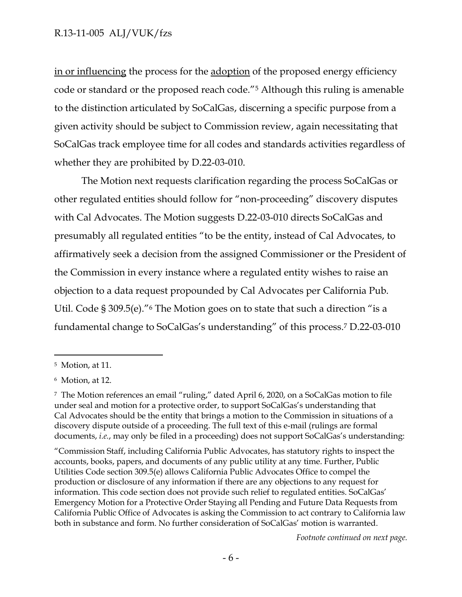## R.13-11-005 ALJ/VUK/fzs

in or influencing the process for the adoption of the proposed energy efficiency code or standard or the proposed reach code."<sup>5</sup> Although this ruling is amenable to the distinction articulated by SoCalGas, discerning a specific purpose from a given activity should be subject to Commission review, again necessitating that SoCalGas track employee time for all codes and standards activities regardless of whether they are prohibited by D.22-03-010.

The Motion next requests clarification regarding the process SoCalGas or other regulated entities should follow for "non-proceeding" discovery disputes with Cal Advocates. The Motion suggests D.22-03-010 directs SoCalGas and presumably all regulated entities "to be the entity, instead of Cal Advocates, to affirmatively seek a decision from the assigned Commissioner or the President of the Commission in every instance where a regulated entity wishes to raise an objection to a data request propounded by Cal Advocates per California Pub. Util. Code § 309.5(e)."<sup>6</sup> The Motion goes on to state that such a direction "is a fundamental change to SoCalGas's understanding" of this process. <sup>7</sup> D.22-03-010

"Commission Staff, including California Public Advocates, has statutory rights to inspect the accounts, books, papers, and documents of any public utility at any time. Further, Public Utilities Code section 309.5(e) allows California Public Advocates Office to compel the production or disclosure of any information if there are any objections to any request for information. This code section does not provide such relief to regulated entities. SoCalGas' Emergency Motion for a Protective Order Staying all Pending and Future Data Requests from California Public Office of Advocates is asking the Commission to act contrary to California law both in substance and form. No further consideration of SoCalGas' motion is warranted.

*Footnote continued on next page.*

<sup>5</sup> Motion, at 11.

<sup>6</sup> Motion, at 12.

<sup>7</sup> The Motion references an email "ruling," dated April 6, 2020, on a SoCalGas motion to file under seal and motion for a protective order, to support SoCalGas's understanding that Cal Advocates should be the entity that brings a motion to the Commission in situations of a discovery dispute outside of a proceeding. The full text of this e-mail (rulings are formal documents, *i.e.*, may only be filed in a proceeding) does not support SoCalGas's understanding: